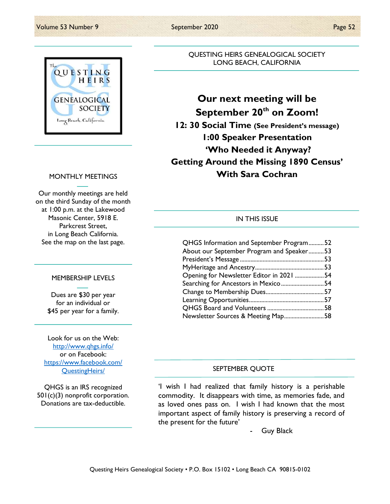

#### MONTHLY MEETINGS

Our monthly meetings are held on the third Sunday of the month at 1:00 p.m. at the Lakewood Masonic Center, 5918 E. Parkcrest Street, in Long Beach California. See the map on the last page.

#### MEMBERSHIP LEVELS

Dues are \$30 per year for an individual or \$45 per year for a family.

Look for us on the Web: http://www.qhgs.info/ or on Facebook: https://www.facebook.com/ QuestingHeirs/

QHGS is an IRS recognized 501(c)(3) nonprofit corporation. Donations are tax-deductible.

QUESTING HEIRS GENEALOGICAL SOCIETY LONG BEACH, CALIFORNIA

# Our next meeting will be September 20<sup>th</sup> on Zoom! 12: 30 Social Time (See President's message) 1:00 Speaker Presentation 'Who Needed it Anyway? Getting Around the Missing 1890 Census' With Sara Cochran

#### IN THIS ISSUE

| QHGS Information and September Program52  |  |
|-------------------------------------------|--|
| About our September Program and Speaker53 |  |
|                                           |  |
|                                           |  |
| Opening for Newsletter Editor in 2021 54  |  |
| Searching for Ancestors in Mexico54       |  |
|                                           |  |
|                                           |  |
|                                           |  |
| Newsletter Sources & Meeting Map58        |  |

#### SEPTEMBER QUOTE

'I wish I had realized that family history is a perishable commodity. It disappears with time, as memories fade, and as loved ones pass on. I wish I had known that the most important aspect of family history is preserving a record of the present for the future'

Guy Black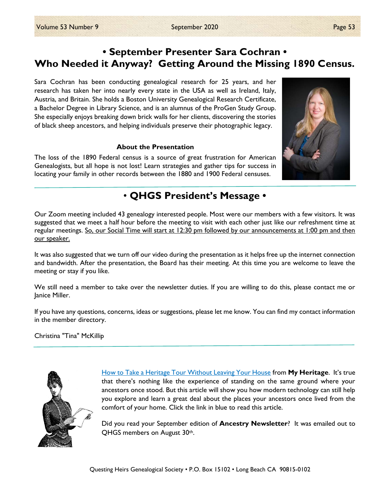## • September Presenter Sara Cochran • Who Needed it Anyway? Getting Around the Missing 1890 Census.

Sara Cochran has been conducting genealogical research for 25 years, and her research has taken her into nearly every state in the USA as well as Ireland, Italy, Austria, and Britain. She holds a Boston University Genealogical Research Certificate, a Bachelor Degree in Library Science, and is an alumnus of the ProGen Study Group. She especially enjoys breaking down brick walls for her clients, discovering the stories of black sheep ancestors, and helping individuals preserve their photographic legacy.

#### About the Presentation

The loss of the 1890 Federal census is a source of great frustration for American Genealogists, but all hope is not lost! Learn strategies and gather tips for success in locating your family in other records between the 1880 and 1900 Federal censuses.



## • QHGS President's Message •

Our Zoom meeting included 43 genealogy interested people. Most were our members with a few visitors. It was suggested that we meet a half hour before the meeting to visit with each other just like our refreshment time at regular meetings. So, our Social Time will start at 12:30 pm followed by our announcements at 1:00 pm and then our speaker.

It was also suggested that we turn off our video during the presentation as it helps free up the internet connection and bandwidth. After the presentation, the Board has their meeting. At this time you are welcome to leave the meeting or stay if you like.

We still need a member to take over the newsletter duties. If you are willing to do this, please contact me or Janice Miller.

If you have any questions, concerns, ideas or suggestions, please let me know. You can find my contact information in the member directory.

Christina "Tina" McKillip



How to Take a Heritage Tour Without Leaving Your House from My Heritage. It's true that there's nothing like the experience of standing on the same ground where your ancestors once stood. But this article will show you how modern technology can still help you explore and learn a great deal about the places your ancestors once lived from the comfort of your home. Click the link in blue to read this article.

Did you read your September edition of **Ancestry Newsletter**? It was emailed out to QHGS members on August 30th.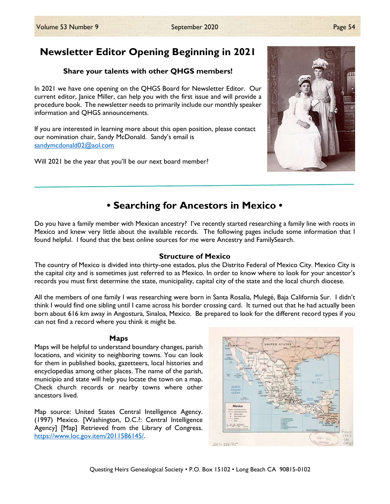## Share your talents with other QHGS members!

In 2021 we have one opening on the QHGS Board for Newsletter Editor. Our current editor, Janice Miller, can help you with the first issue and will provide a procedure book. The newsletter needs to primarily include our monthly speaker information and QHGS announcements.

If you are interested in learning more about this open position, please contact our nomination chair, Sandy McDonald. Sandy's email is sandymcdonald02@aol.com

Will 2021 be the year that you'll be our next board member?



Do you have a family member with Mexican ancestry? I've recently started researching a family line with roots in Mexico and knew very little about the available records. The following pages include some information that I found helpful. I found that the best online sources for me were Ancestry and FamilySearch.

• Searching for Ancestors in Mexico •

## Structure of Mexico

The country of Mexico is divided into thirty-one estados, plus the Distrito Federal of Mexico City. Mexico City is the capital city and is sometimes just referred to as Mexico. In order to know where to look for your ancestor's records you must first determine the state, municipality, capital city of the state and the local church diocese.

All the members of one family I was researching were born in Santa Rosalia, Mulegé, Baja California Sur. I didn't think I would find one sibling until I came across his border crossing card. It turned out that he had actually been born about 616 km away in Angostura, Sinaloa, Mexico. Be prepared to look for the different record types if you can not find a record where you think it might be.

#### Maps

Maps will be helpful to understand boundary changes, parish locations, and vicinity to neighboring towns. You can look for them in published books, gazetteers, local histories and encyclopedias among other places. The name of the parish, municipio and state will help you locate the town on a map. Check church records or nearby towns where other ancestors lived.

Map source: United States Central Intelligence Agency. (1997) Mexico. [Washington, D.C.?: Central Intelligence Agency] [Map] Retrieved from the Library of Congress. https://www.loc.gov.item/2011586145/.



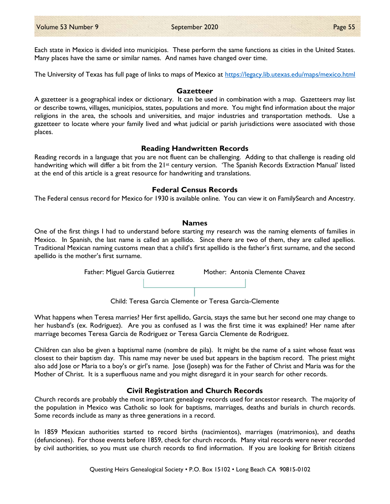Each state in Mexico is divided into municipios. These perform the same functions as cities in the United States. Many places have the same or similar names. And names have changed over time.

The University of Texas has full page of links to maps of Mexico at https://legacy.lib.utexas.edu/maps/mexico.html

#### **Gazetteer**

A gazetteer is a geographical index or dictionary. It can be used in combination with a map. Gazetteers may list or describe towns, villages, municipios, states, populations and more. You might find information about the major religions in the area, the schools and universities, and major industries and transportation methods. Use a gazetteer to locate where your family lived and what judicial or parish jurisdictions were associated with those places.

#### Reading Handwritten Records

Reading records in a language that you are not fluent can be challenging. Adding to that challenge is reading old handwriting which will differ a bit from the 21<sup>st</sup> century version. 'The Spanish Records Extraction Manual' listed at the end of this article is a great resource for handwriting and translations.

#### Federal Census Records

The Federal census record for Mexico for 1930 is available online. You can view it on FamilySearch and Ancestry.

#### Names

One of the first things I had to understand before starting my research was the naming elements of families in Mexico. In Spanish, the last name is called an apellido. Since there are two of them, they are called apellios. Traditional Mexican naming customs mean that a child's first apellido is the father's first surname, and the second apellido is the mother's first surname.



Child: Teresa Garcia Clemente or Teresa Garcia-Clemente

What happens when Teresa marries? Her first apellido, Garcia, stays the same but her second one may change to her husband's (ex. Rodriguez). Are you as confused as I was the first time it was explained? Her name after marriage becomes Teresa Garcia de Rodriguez or Teresa Garcia Clemente de Rodriguez.

Children can also be given a baptismal name (nombre de pila). It might be the name of a saint whose feast was closest to their baptism day. This name may never be used but appears in the baptism record. The priest might also add Jose or Maria to a boy's or girl's name. Jose (Joseph) was for the Father of Christ and Maria was for the Mother of Christ. It is a superfluous name and you might disregard it in your search for other records.

#### Civil Registration and Church Records

Church records are probably the most important genealogy records used for ancestor research. The majority of the population in Mexico was Catholic so look for baptisms, marriages, deaths and burials in church records. Some records include as many as three generations in a record.

In 1859 Mexican authorities started to record births (nacimientos), marriages (matrimonios), and deaths (defunciones). For those events before 1859, check for church records. Many vital records were never recorded by civil authorities, so you must use church records to find information. If you are looking for British citizens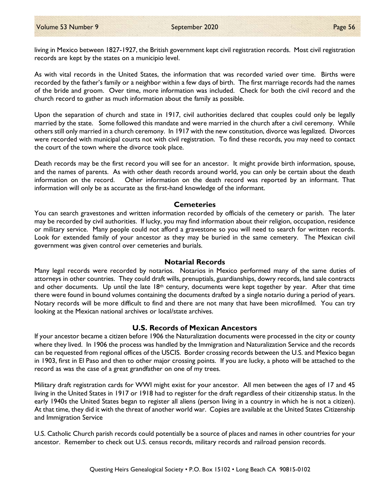As with vital records in the United States, the information that was recorded varied over time. Births were recorded by the father's family or a neighbor within a few days of birth. The first marriage records had the names of the bride and groom. Over time, more information was included. Check for both the civil record and the church record to gather as much information about the family as possible.

Upon the separation of church and state in 1917, civil authorities declared that couples could only be legally married by the state. Some followed this mandate and were married in the church after a civil ceremony. While others still only married in a church ceremony. In 1917 with the new constitution, divorce was legalized. Divorces were recorded with municipal courts not with civil registration. To find these records, you may need to contact the court of the town where the divorce took place.

Death records may be the first record you will see for an ancestor. It might provide birth information, spouse, and the names of parents. As with other death records around world, you can only be certain about the death information on the record. Other information on the death record was reported by an informant. That information will only be as accurate as the first-hand knowledge of the informant.

### **Cemeteries**

You can search gravestones and written information recorded by officials of the cemetery or parish. The later may be recorded by civil authorities. If lucky, you may find information about their religion, occupation, residence or military service. Many people could not afford a gravestone so you will need to search for written records. Look for extended family of your ancestor as they may be buried in the same cemetery. The Mexican civil government was given control over cemeteries and burials.

#### Notarial Records

Many legal records were recorded by notarios. Notarios in Mexico performed many of the same duties of attorneys in other countries. They could draft wills, prenuptials, guardianships, dowry records, land sale contracts and other documents. Up until the late  $18<sup>th</sup>$  century, documents were kept together by year. After that time there were found in bound volumes containing the documents drafted by a single notario during a period of years. Notary records will be more difficult to find and there are not many that have been microfilmed. You can try looking at the Mexican national archives or local/state archives.

## U.S. Records of Mexican Ancestors

If your ancestor became a citizen before 1906 the Naturalization documents were processed in the city or county where they lived. In 1906 the process was handled by the Immigration and Naturalization Service and the records can be requested from regional offices of the USCIS. Border crossing records between the U.S. and Mexico began in 1903, first in El Paso and then to other major crossing points. If you are lucky, a photo will be attached to the record as was the case of a great grandfather on one of my trees.

Military draft registration cards for WWI might exist for your ancestor. All men between the ages of 17 and 45 living in the United States in 1917 or 1918 had to register for the draft regardless of their citizenship status. In the early 1940s the United States began to register all aliens (person living in a country in which he is not a citizen). At that time, they did it with the threat of another world war. Copies are available at the United States Citizenship and Immigration Service

U.S. Catholic Church parish records could potentially be a source of places and names in other countries for your ancestor. Remember to check out U.S. census records, military records and railroad pension records.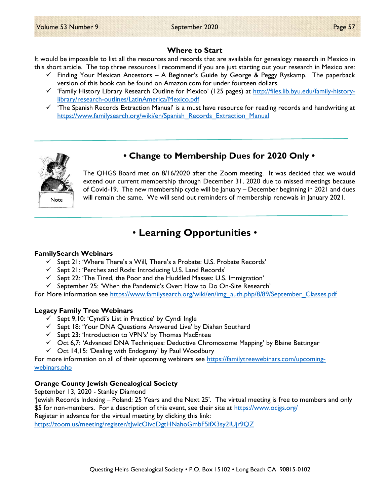#### Where to Start

It would be impossible to list all the resources and records that are available for genealogy research in Mexico in this short article. The top three resources I recommend if you are just starting out your research in Mexico are:

- $\checkmark$  Finding Your Mexican Ancestors A Beginner's Guide by George & Peggy Ryskamp. The paperback version of this book can be found on Amazon.com for under fourteen dollars.
- 'Family History Library Research Outline for Mexico' (125 pages) at http://files.lib.byu.edu/family-historylibrary/research-outlines/LatinAmerica/Mexico.pdf
- $\checkmark$  'The Spanish Records Extraction Manual' is a must have resource for reading records and handwriting at https://www.familysearch.org/wiki/en/Spanish\_Records\_Extraction\_Manual



• Change to Membership Dues for 2020 Only •

The QHGS Board met on 8/16/2020 after the Zoom meeting. It was decided that we would extend our current membership through December 31, 2020 due to missed meetings because of Covid-19. The new membership cycle will be January – December beginning in 2021 and dues will remain the same. We will send out reminders of membership renewals in January 2021.

## • Learning Opportunities •

#### FamilySearch Webinars

- $\checkmark$  Sept 21: 'Where There's a Will, There's a Probate: U.S. Probate Records'
- $\checkmark$  Sept 21: 'Perches and Rods: Introducing U.S. Land Records'
- $\checkmark$  Sept 22: 'The Tired, the Poor and the Huddled Masses: U.S. Immigration'
- $\checkmark$  September 25: 'When the Pandemic's Over: How to Do On-Site Research'

For More information see https://www.familysearch.org/wiki/en/img\_auth.php/8/89/September\_Classes.pdf

#### Legacy Family Tree Webinars

- $\checkmark$  Sept 9,10: 'Cyndi's List in Practice' by Cyndi Ingle
- $\checkmark$  Sept 18: 'Your DNA Questions Answered Live' by Diahan Southard
- $\checkmark$  Sept 23: 'Introduction to VPN's' by Thomas MacEntee
- Oct 6,7: 'Advanced DNA Techniques: Deductive Chromosome Mapping' by Blaine Bettinger
- $\checkmark$  Oct 14,15: 'Dealing with Endogamy' by Paul Woodbury

For more information on all of their upcoming webinars see https://familytreewebinars.com/upcomingwebinars.php

## Orange County Jewish Genealogical Society

September 13, 2020 - Stanley Diamond

'Jewish Records Indexing – Poland: 25 Years and the Next 25'. The virtual meeting is free to members and only \$5 for non-members. For a description of this event, see their site at https://www.ocjgs.org/ Register in advance for the virtual meeting by clicking this link:

https://zoom.us/meeting/register/t|wlcOivqDgtHNahoGmbF5ifX3sy2IUjr9QZ